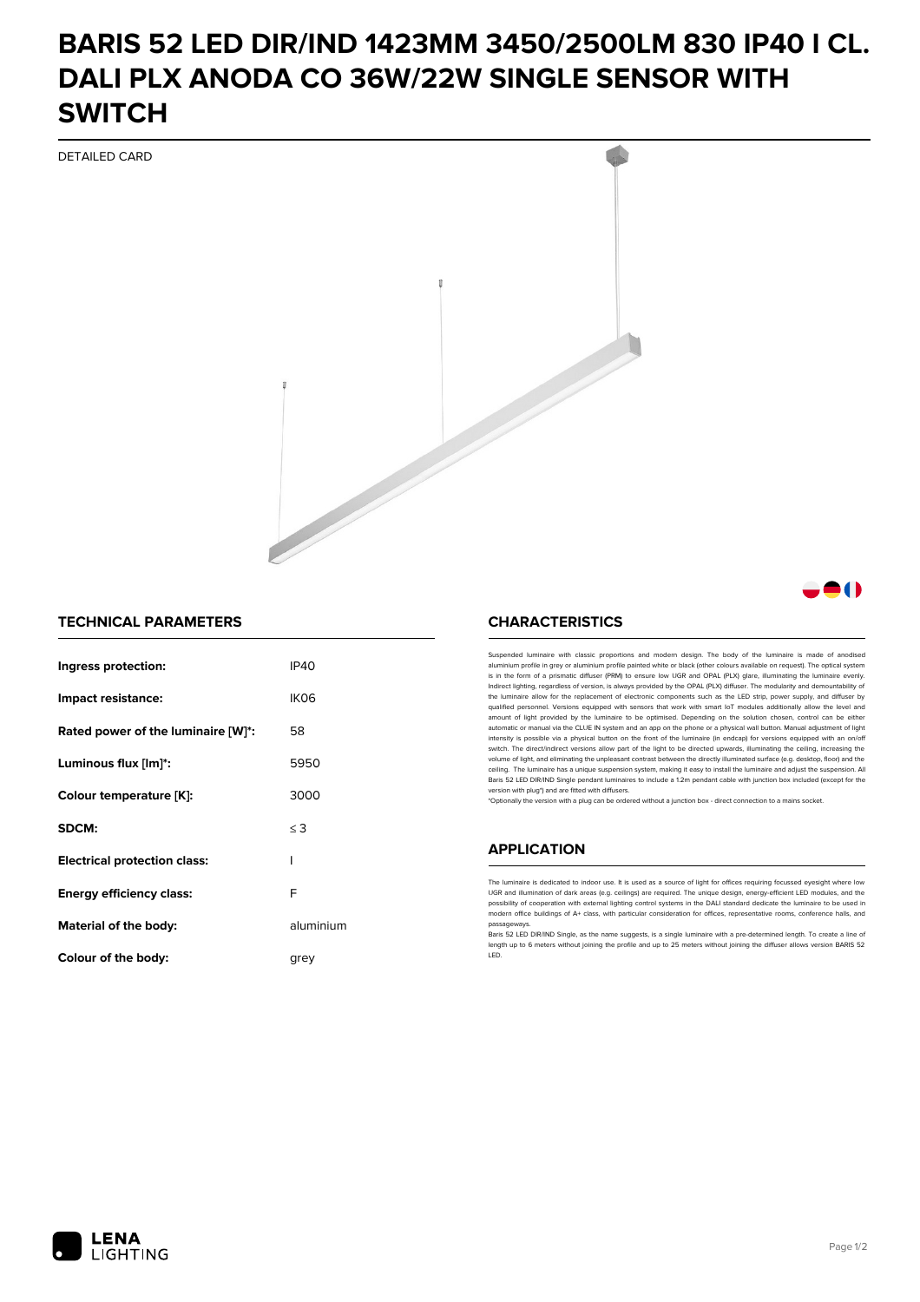# **BARIS 52 LED DIR/IND 1423MM 3450/2500LM 830 IP40 I CL. DALI PLX ANODA CO 36W/22W SINGLE SENSOR WITH SWITCH**

DETAILED CARD



### **TECHNICAL PARAMETERS**

| Ingress protection:                 | <b>IP40</b>      |
|-------------------------------------|------------------|
| Impact resistance:                  | IK <sub>06</sub> |
| Rated power of the luminaire [W]*:  | 58               |
| Luminous flux [lm]*:                | 5950             |
| Colour temperature [K]:             | 3000             |
| SDCM:                               | $\leq$ 3         |
| <b>Electrical protection class:</b> | ı                |
| <b>Energy efficiency class:</b>     | F                |
| Material of the body:               | aluminium        |
| Colour of the body:                 | arev             |

#### **CHARACTERISTICS**

Suspended luminaire with classic proportions and modern design. The body of the luminaire is made of an aluminium profile in grey or aluminium profile painted white or black (other colours available on request). The optical system is in the form of a prismatic diffuser (PRM) to ensure low UGR and OPAL (PLX) glare, illuminating the luminaire evenly.<br>Indirect lighting, regardless of version, is always provided by the OPAL (PLX) diffuser. The modularit the luminaire allow for the replacement of electronic components such as the LED strip, power supply, and diffuser by qualified personnel. Versions equipped with sensors that work with smart IoT modules additionally allow the level and amount of light provided by the luminaire to be optimised. Depending on the solution chosen, control can be either automatic or manual via the CLUE IN system and an app on the phone or a physical wall button. Manual adjustment of light<br>intensity is possible via a physical button on the front of the luminaire (in endcap) for versions eq switch. The direct/indirect versions allow part of the light to be directed upwards, illuminating the ceiling, increasing the volume of light, and eliminating the unpleasant contrast between the directly illuminated surface (e.g. desktop, floor) and the ceiling. The luminaire has a unique suspension system, making it easy to install the luminaire and adjust the suspension. All Baris 52 LED DIR/IND Single pendant Iuminaires to include a 1.2m pendant cable with junction box included (except for the<br>version with plug\*) and are fitted with diffusers.

\*Optionally the version with a plug can be ordered without a junction box - direct connection to a mains socket.

#### **APPLICATION**

The luminaire is dedicated to indoor use. It is used as a source of light for offices requiring focussed eyesight where low UGR and illumination of dark areas (e.g. ceilings) are required. The unique design, energy-efficient LED modules, and the<br>possibility of cooperation with external lighting control systems in the DALI standard dedicate the modern office buildings of A+ class, with particular consideration for offices, representative rooms, conference halls, and passage

Baris 52 LED DIR/IND Single, as the name suggests, is a single luminaire with a pre-determined length. To create a line of length up to 6 meters without joining the profile and up to 25 meters without joining the diffuser allows version BARIS 52 LED.



81 N